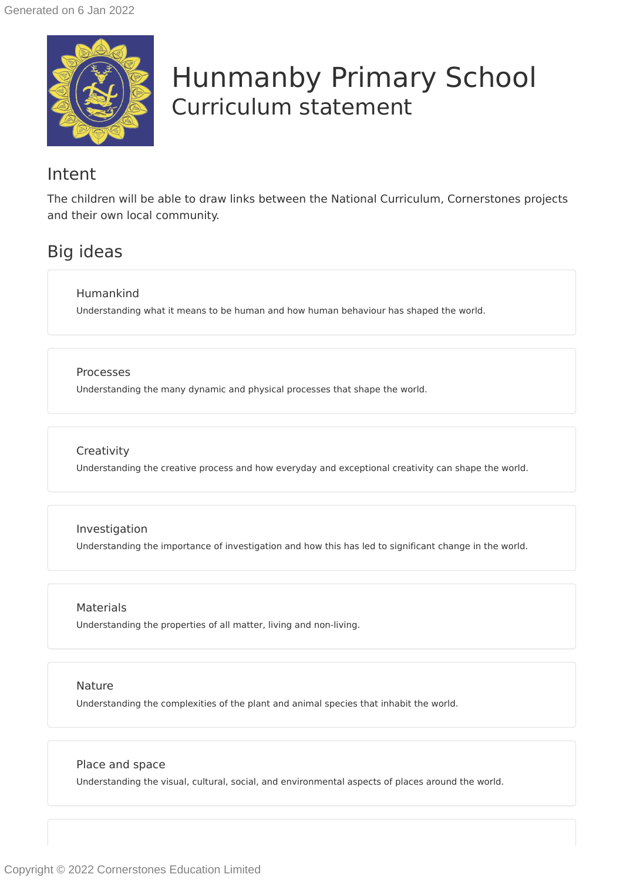

# Hunmanby Primary School Curriculum statement

### Intent

The children will be able to draw links between the National Curriculum, Cornerstones projects and their own local community.

# Big ideas

Humankind

Understanding what it means to be human and how human behaviour has shaped the world.

#### Processes

Understanding the many dynamic and physical processes that shape the world.

### **Creativity**

Understanding the creative process and how everyday and exceptional creativity can shape the world.

### Investigation

Understanding the importance of investigation and how this has led to significant change in the world.

### **Materials**

Understanding the properties of all matter, living and non-living.

### Nature

Understanding the complexities of the plant and animal species that inhabit the world.

### Place and space

Understanding the visual, cultural, social, and environmental aspects of places around the world.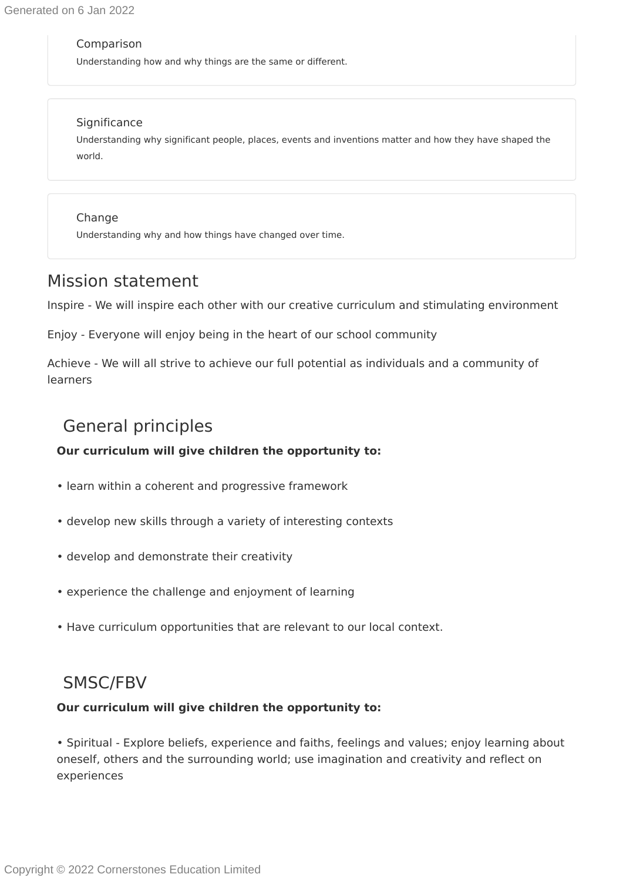#### Comparison

Understanding how and why things are the same or different.

### **Significance**

Understanding why significant people, places, events and inventions matter and how they have shaped the world.

### Change

Understanding why and how things have changed over time.

### Mission statement

Inspire - We will inspire each other with our creative curriculum and stimulating environment

Enjoy - Everyone will enjoy being in the heart of our school community

Achieve - We will all strive to achieve our full potential as individuals and a community of learners

### General principles

### **Our curriculum will give children the opportunity to:**

- learn within a coherent and progressive framework
- develop new skills through a variety of interesting contexts
- develop and demonstrate their creativity
- experience the challenge and enjoyment of learning
- Have curriculum opportunities that are relevant to our local context.

### SMSC/FBV

### **Our curriculum will give children the opportunity to:**

• Spiritual - Explore beliefs, experience and faiths, feelings and values; enjoy learning about oneself, others and the surrounding world; use imagination and creativity and reflect on experiences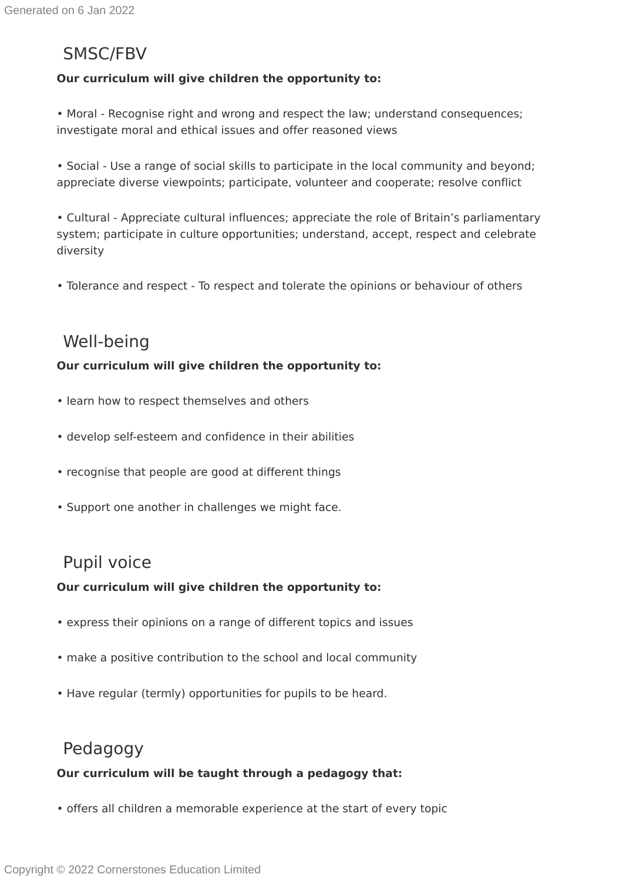### SMSC/FBV

### **Our curriculum will give children the opportunity to:**

• Moral - Recognise right and wrong and respect the law; understand consequences; investigate moral and ethical issues and offer reasoned views

• Social - Use a range of social skills to participate in the local community and beyond; appreciate diverse viewpoints; participate, volunteer and cooperate; resolve conflict

• Cultural - Appreciate cultural influences; appreciate the role of Britain's parliamentary system; participate in culture opportunities; understand, accept, respect and celebrate diversity

• Tolerance and respect - To respect and tolerate the opinions or behaviour of others

### Well-being

### **Our curriculum will give children the opportunity to:**

- learn how to respect themselves and others
- develop self-esteem and confidence in their abilities
- recognise that people are good at different things
- Support one another in challenges we might face.

### Pupil voice

### **Our curriculum will give children the opportunity to:**

- express their opinions on a range of different topics and issues
- make a positive contribution to the school and local community
- Have regular (termly) opportunities for pupils to be heard.

# Pedagogy

### **Our curriculum will be taught through a pedagogy that:**

• offers all children a memorable experience at the start of every topic